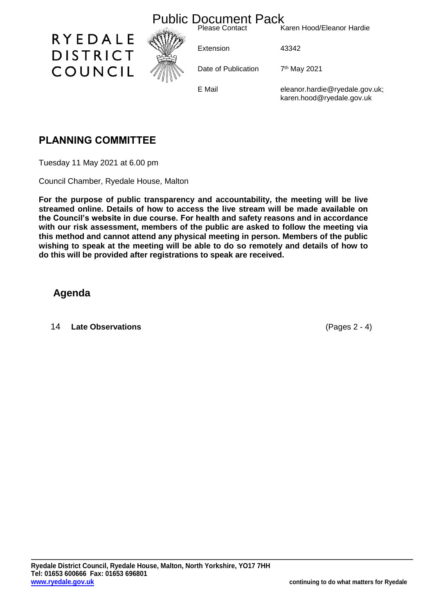

# **PLANNING COMMITTEE**

Tuesday 11 May 2021 at 6.00 pm

Council Chamber, Ryedale House, Malton

**For the purpose of public transparency and accountability, the meeting will be live streamed online. Details of how to access the live stream will be made available on the Council's website in due course. For health and safety reasons and in accordance with our risk assessment, members of the public are asked to follow the meeting via this method and cannot attend any physical meeting in person. Members of the public wishing to speak at the meeting will be able to do so remotely and details of how to do this will be provided after registrations to speak are received.**

## **Agenda**

14 **Late Observations** (Pages 2 - 4)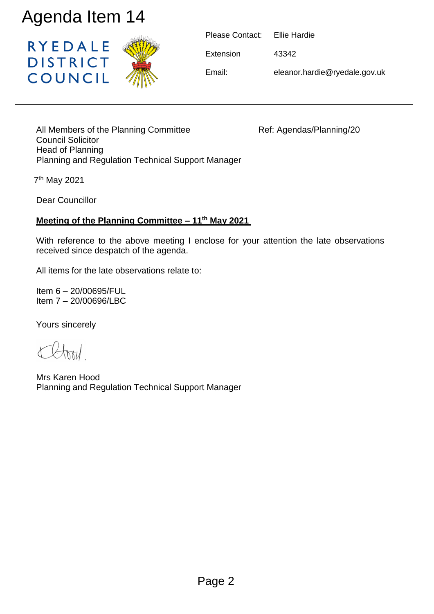

| Please Contact: Ellie Hardie |                               |
|------------------------------|-------------------------------|
| Extension                    | 43342                         |
| Email:                       | eleanor.hardie@ryedale.gov.uk |

All Members of the Planning Committee Ref: Agendas/Planning/20 Council Solicitor Head of Planning Planning and Regulation Technical Support Manager

7 th May 2021

Dear Councillor

## **Meeting of the Planning Committee – 11th May 2021**

With reference to the above meeting I enclose for your attention the late observations received since despatch of the agenda.

All items for the late observations relate to:

Item 6 – 20/00695/FUL Item 7 – 20/00696/LBC

Yours sincerely

Mrs Karen Hood Planning and Regulation Technical Support Manager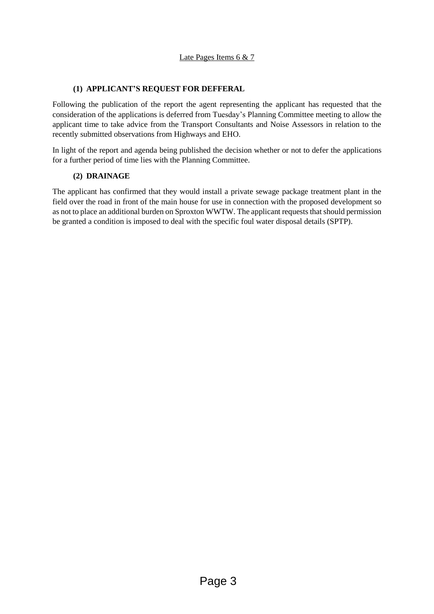### **(1) APPLICANT'S REQUEST FOR DEFFERAL**

Following the publication of the report the agent representing the applicant has requested that the consideration of the applications is deferred from Tuesday's Planning Committee meeting to allow the applicant time to take advice from the Transport Consultants and Noise Assessors in relation to the recently submitted observations from Highways and EHO.

In light of the report and agenda being published the decision whether or not to defer the applications for a further period of time lies with the Planning Committee.

#### **(2) DRAINAGE**

The applicant has confirmed that they would install a private sewage package treatment plant in the field over the road in front of the main house for use in connection with the proposed development so as not to place an additional burden on Sproxton WWTW. The applicant requests that should permission be granted a condition is imposed to deal with the specific foul water disposal details (SPTP).